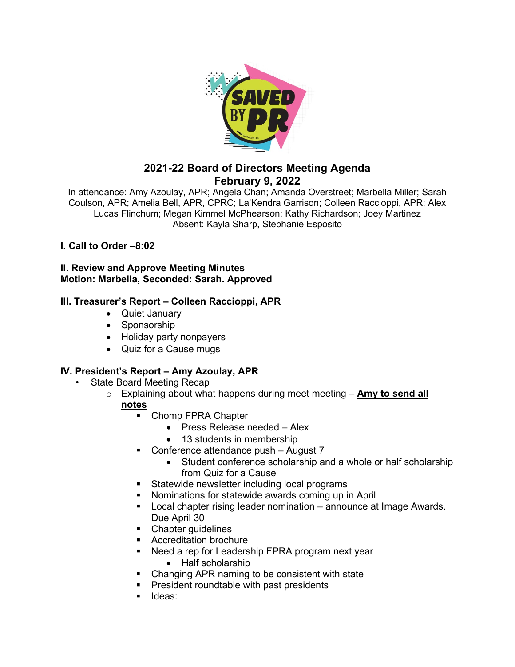

# **2021-22 Board of Directors Meeting Agenda February 9, 2022**

In attendance: Amy Azoulay, APR; Angela Chan; Amanda Overstreet; Marbella Miller; Sarah Coulson, APR; Amelia Bell, APR, CPRC; La'Kendra Garrison; Colleen Raccioppi, APR; Alex Lucas Flinchum; Megan Kimmel McPhearson; Kathy Richardson; Joey Martinez Absent: Kayla Sharp, Stephanie Esposito

# **I. Call to Order –8:02**

**II. Review and Approve Meeting Minutes Motion: Marbella, Seconded: Sarah. Approved**

### **III. Treasurer's Report – Colleen Raccioppi, APR**

- Quiet January
- Sponsorship
- Holiday party nonpayers
- Quiz for a Cause mugs

# **IV. President's Report – Amy Azoulay, APR**

- State Board Meeting Recap
	- o Explaining about what happens during meet meeting **Amy to send all notes**
		- Chomp FPRA Chapter
			- Press Release needed Alex
			- 13 students in membership
		- **Conference attendance push August 7** 
			- Student conference scholarship and a whole or half scholarship from Quiz for a Cause
		- **Statewide newsletter including local programs**
		- Nominations for statewide awards coming up in April
		- **Local chapter rising leader nomination** announce at Image Awards. Due April 30
		- Chapter quidelines
		- **Accreditation brochure**
		- Need a rep for Leadership FPRA program next year
			- Half scholarship
		- Changing APR naming to be consistent with state
		- **President roundtable with past presidents**
		- ldeas: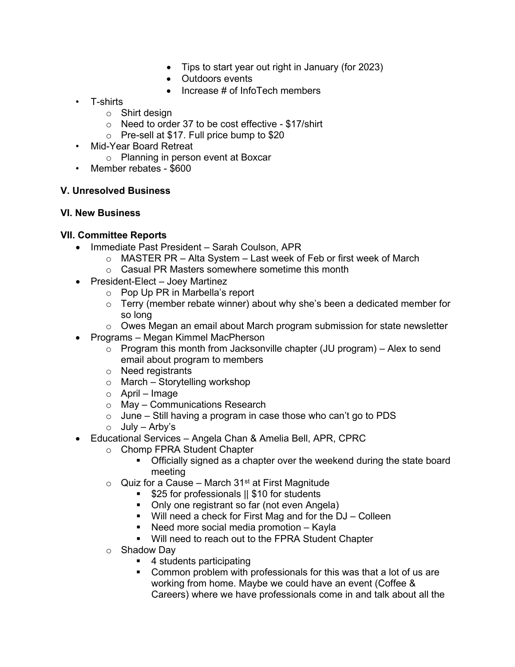- Tips to start year out right in January (for 2023)
- Outdoors events
- Increase # of InfoTech members
- T-shirts
	- o Shirt design
	- o Need to order 37 to be cost effective \$17/shirt
	- o Pre-sell at \$17. Full price bump to \$20
- Mid-Year Board Retreat
	- o Planning in person event at Boxcar
- Member rebates \$600

#### **V. Unresolved Business**

#### **VI. New Business**

#### **VII. Committee Reports**

- Immediate Past President Sarah Coulson, APR
	- $\circ$  MASTER PR Alta System Last week of Feb or first week of March
	- o Casual PR Masters somewhere sometime this month
- President-Elect Joey Martinez
	- o Pop Up PR in Marbella's report
	- $\circ$  Terry (member rebate winner) about why she's been a dedicated member for so long
	- $\circ$  Owes Megan an email about March program submission for state newsletter
- Programs Megan Kimmel MacPherson
	- $\circ$  Program this month from Jacksonville chapter (JU program) Alex to send email about program to members
	- o Need registrants
	- o March Storytelling workshop
	- o April Image
	- o May Communications Research
	- $\circ$  June Still having a program in case those who can't go to PDS
	- $\circ$  July Arby's
- Educational Services Angela Chan & Amelia Bell, APR, CPRC
	- o Chomp FPRA Student Chapter<br>Officially signed as a cha
		- Officially signed as a chapter over the weekend during the state board meeting
	- $\circ$  Quiz for a Cause March 31<sup>st</sup> at First Magnitude
		- **525 for professionals || \$10 for students** 
			- Only one registrant so far (not even Angela)
			- Will need a check for First Mag and for the DJ Colleen
			- Need more social media promotion Kayla
			- **Will need to reach out to the FPRA Student Chapter**
	- o Shadow Day
		- 4 students participating
		- Common problem with professionals for this was that a lot of us are working from home. Maybe we could have an event (Coffee & Careers) where we have professionals come in and talk about all the